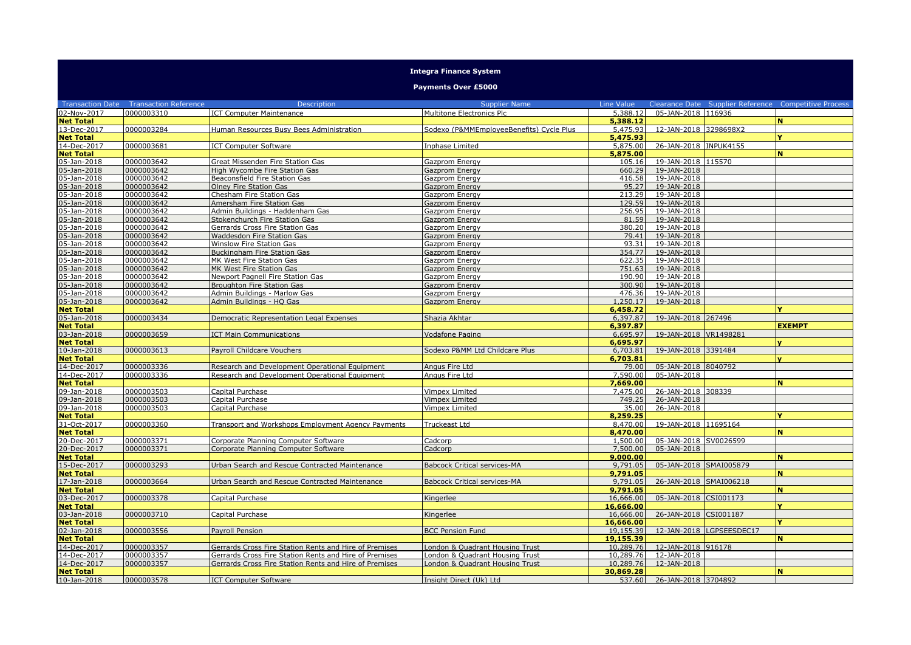## **Integra Finance System**

## **Payments Over £5000**

|                            | <b>Transaction Date  Transaction Reference</b> | <b>Description</b>                                     | <b>Supplier Name</b>                     | Line Value           |                                      |                          | Clearance Date Supplier Reference Competitive Process |
|----------------------------|------------------------------------------------|--------------------------------------------------------|------------------------------------------|----------------------|--------------------------------------|--------------------------|-------------------------------------------------------|
| 02-Nov-2017                | 0000003310                                     | <b>ICT Computer Maintenance</b>                        | Multitone Electronics Plc                | 5,388.12             | 05-JAN-2018 116936                   |                          |                                                       |
| <b>Net Total</b>           |                                                |                                                        |                                          | 5,388.12             |                                      |                          | N                                                     |
| 13-Dec-2017                | 0000003284                                     | Human Resources Busy Bees Administration               | Sodexo (P&MMEmployeeBenefits) Cycle Plus | 5,475.93             | 12-JAN-2018 3298698X2                |                          |                                                       |
| <b>Net Total</b>           |                                                |                                                        |                                          | 5,475.93             |                                      |                          | v                                                     |
| 14-Dec-2017                | 0000003681                                     | <b>ICT Computer Software</b>                           | Inphase Limited                          | 5,875.00             | 26-JAN-2018 INPUK4155                |                          |                                                       |
| <b>Net Total</b>           |                                                |                                                        |                                          | 5,875.00             |                                      |                          | N                                                     |
| 05-Jan-2018                | 0000003642                                     | Great Missenden Fire Station Gas                       | Gazprom Energy                           | 105.16               | 19-JAN-2018 115570                   |                          |                                                       |
| 05-Jan-2018                | 0000003642                                     | <b>High Wycombe Fire Station Gas</b>                   | Gazprom Energy                           | 660.29               | 19-JAN-2018                          |                          |                                                       |
| 05-Jan-2018                | 0000003642                                     | <b>Beaconsfield Fire Station Gas</b>                   | Gazprom Energy                           | 416.58               | 19-JAN-2018                          |                          |                                                       |
| 05-Jan-2018                | 0000003642                                     | Olney Fire Station Gas                                 | Gazprom Energy                           | 95.27                | 19-JAN-2018                          |                          |                                                       |
| 05-Jan-2018                | 0000003642                                     | Chesham Fire Station Gas                               | Gazprom Energy                           | 213.29               | 19-JAN-2018                          |                          |                                                       |
| 05-Jan-2018                | 0000003642                                     | Amersham Fire Station Gas                              | Gazprom Energy                           | 129.59               | 19-JAN-2018                          |                          |                                                       |
| 05-Jan-2018                | 0000003642                                     | Admin Buildings - Haddenham Gas                        | Gazprom Energy                           | 256.95               | 19-JAN-2018                          |                          |                                                       |
| 05-Jan-2018                | 0000003642                                     | Stokenchurch Fire Station Gas                          | Gazprom Energy                           | 81.59                | 19-JAN-2018                          |                          |                                                       |
| 05-Jan-2018                | 0000003642                                     | Gerrards Cross Fire Station Gas                        | Gazprom Energy                           | 380.20               | 19-JAN-2018                          |                          |                                                       |
| 05-Jan-2018                | 0000003642                                     | Waddesdon Fire Station Gas                             | Gazprom Energy                           | 79.41                | 19-JAN-2018                          |                          |                                                       |
| 05-Jan-2018                | 0000003642                                     | Winslow Fire Station Gas                               | Gazprom Energy                           | 93.31                | $19 - JAN - 2018$                    |                          |                                                       |
| 05-Jan-2018                | 0000003642                                     | <b>Buckingham Fire Station Gas</b>                     | Gazprom Energy                           | 354.77               | 19-JAN-2018                          |                          |                                                       |
| 05-Jan-2018                | 0000003642                                     | <b>MK West Fire Station Gas</b>                        | <b>Gazprom Energy</b>                    | 622.35               | 19-JAN-2018                          |                          |                                                       |
| 05-Jan-2018                | 0000003642                                     | <b>MK West Fire Station Gas</b>                        | <b>Gazprom Energy</b>                    | 751.63               | 19-JAN-2018                          |                          |                                                       |
| 05-Jan-2018                | 0000003642                                     | Newport Pagnell Fire Station Gas                       | Gazprom Energy                           | 190.90               | 19-JAN-2018                          |                          |                                                       |
| 05-Jan-2018                | 0000003642                                     | Broughton Fire Station Gas                             | Gazprom Energy                           | 300.90               | 19-JAN-2018                          |                          |                                                       |
| 05-Jan-2018                | 0000003642                                     | Admin Buildings - Marlow Gas                           | Gazprom Energy                           | 476.36               | 19-JAN-2018                          |                          |                                                       |
| 05-Jan-2018                | 0000003642                                     | Admin Buildings - HQ Gas                               | Gazprom Energy                           | 1,250.17             | 19-JAN-2018                          |                          |                                                       |
| <b>Net Total</b>           |                                                |                                                        |                                          | 6,458.72             |                                      |                          |                                                       |
| 05-Jan-2018                | 0000003434                                     | Democratic Representation Legal Expenses               | Shazia Akhtar                            | 6,397.87             | 19-JAN-2018 267496                   |                          |                                                       |
| <b>Net Total</b>           |                                                |                                                        |                                          | 6,397.87             |                                      |                          | <b>EXEMPT</b>                                         |
| 03-Jan-2018                | 0000003659                                     | <b>ICT Main Communications</b>                         | Vodafone Paging                          | 6,695.97             | 19-JAN-2018 VR1498281                |                          |                                                       |
| <b>Net Total</b>           |                                                |                                                        |                                          | 6.695.97             |                                      |                          |                                                       |
| 10-Jan-2018                | 0000003613                                     | Payroll Childcare Vouchers                             | Sodexo P&MM Ltd Childcare Plus           | 6,703.81             | 19-JAN-2018 3391484                  |                          |                                                       |
| <b>Net Total</b>           |                                                |                                                        |                                          | 6,703.81             |                                      |                          |                                                       |
| 14-Dec-2017                | 0000003336                                     | Research and Development Operational Equipment         | Angus Fire Ltd                           | 79.00                | 05-JAN-2018 8040792                  |                          |                                                       |
| 14-Dec-2017                | 0000003336                                     | Research and Development Operational Equipment         | Angus Fire Ltd                           | 7,590.00             | 05-JAN-2018                          |                          |                                                       |
| <b>Net Total</b>           |                                                |                                                        |                                          | 7,669.00             |                                      |                          | N                                                     |
| 09-Jan-2018                | 0000003503                                     | Capital Purchase                                       | Vimpex Limited                           | 7.475.00             | 26-JAN-2018 308339                   |                          |                                                       |
| 09-Jan-2018                | 0000003503                                     | Capital Purchase                                       | Vimpex Limited                           | 749.25               | 26-JAN-2018                          |                          |                                                       |
| 09-Jan-2018                | 0000003503                                     | Capital Purchase                                       | Vimpex Limited                           | 35.00                | 26-JAN-2018                          |                          | v                                                     |
| <b>Net Total</b>           |                                                |                                                        |                                          | 8,259.25             |                                      |                          |                                                       |
| 31-Oct-2017                | 0000003360                                     | Transport and Workshops Employment Agency Payments     | Truckeast Ltd                            | 8,470,00             | 19-JAN-2018 11695164                 |                          | N                                                     |
| <b>Net Total</b>           |                                                |                                                        |                                          | 8,470.00             |                                      |                          |                                                       |
| 20-Dec-2017<br>20-Dec-2017 | 0000003371<br>0000003371                       | Corporate Planning Computer Software                   | Cadcorp                                  | 1,500.00<br>7,500.00 | 05-JAN-2018 SV0026599<br>05-JAN-2018 |                          |                                                       |
| <b>Net Total</b>           |                                                | Corporate Planning Computer Software                   | Cadcorp                                  | 9,000.00             |                                      |                          | N                                                     |
| 15-Dec-2017                | 0000003293                                     | Urban Search and Rescue Contracted Maintenance         | <b>Babcock Critical services-MA</b>      | 9,791.05             | 05-JAN-2018 SMAI005879               |                          |                                                       |
| <b>Net Total</b>           |                                                |                                                        |                                          | 9,791.05             |                                      |                          | N                                                     |
| 17-Jan-2018                | 0000003664                                     | Urban Search and Rescue Contracted Maintenance         | <b>Babcock Critical services-MA</b>      | 9,791.05             | 26-JAN-2018 SMAI006218               |                          |                                                       |
| <b>Net Total</b>           |                                                |                                                        |                                          | 9.791.05             |                                      |                          | N                                                     |
| 03-Dec-2017                | 0000003378                                     | Capital Purchase                                       | Kingerlee                                | 16.666.00            | 05-JAN-2018 CSI001173                |                          |                                                       |
| <b>Net Total</b>           |                                                |                                                        |                                          | 16,666.00            |                                      |                          |                                                       |
| 03-Jan-2018                | 0000003710                                     | Capital Purchase                                       | Kingerlee                                | 16,666.00            | 26-JAN-2018 CSI001187                |                          |                                                       |
| <b>Net Total</b>           |                                                |                                                        |                                          | 16,666.00            |                                      |                          | v                                                     |
| 02-Jan-2018                | 0000003556                                     | Payroll Pension                                        | <b>BCC Pension Fund</b>                  | 19,155.39            |                                      | 12-JAN-2018 LGPSEESDEC17 |                                                       |
| <b>Net Total</b>           |                                                |                                                        |                                          | 19,155.39            |                                      |                          | N                                                     |
| 14-Dec-2017                | 0000003357                                     | Gerrards Cross Fire Station Rents and Hire of Premises | London & Quadrant Housing Trust          | 10,289.76            | 12-JAN-2018 916178                   |                          |                                                       |
| 14-Dec-2017                | 0000003357                                     | Gerrards Cross Fire Station Rents and Hire of Premises | London & Quadrant Housing Trust          | 10,289.76            | 12-JAN-2018                          |                          |                                                       |
| 14-Dec-2017                | 0000003357                                     | Gerrards Cross Fire Station Rents and Hire of Premises | London & Quadrant Housing Trust          | 10,289.76            | 12-JAN-2018                          |                          |                                                       |
| <b>Net Total</b>           |                                                |                                                        |                                          | 30,869.28            |                                      |                          | N                                                     |
| 10-Jan-2018                | 0000003578                                     | <b>ICT Computer Software</b>                           | Insight Direct (Uk) Ltd                  |                      | 537.60 26-JAN-2018 3704892           |                          |                                                       |
|                            |                                                |                                                        |                                          |                      |                                      |                          |                                                       |